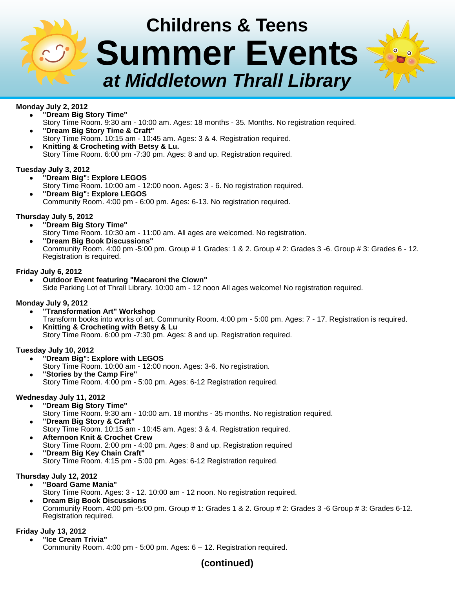# **Childrens & Teens Summer Events** *at Middletown Thrall Library*

# **Monday July 2, 2012**

- **"Dream Big Story Time"** Story Time Room. 9:30 am - 10:00 am. Ages: 18 months - 35. Months. No registration required. **"Dream Big Story Time & Craft"**
- Story Time Room. 10:15 am 10:45 am. Ages: 3 & 4. Registration required. **Knitting & Crocheting with Betsy & Lu.**
- Story Time Room. 6:00 pm -7:30 pm. Ages: 8 and up. Registration required.

## **Tuesday July 3, 2012**

- **"Dream Big": Explore LEGOS**
- Story Time Room. 10:00 am 12:00 noon. Ages: 3 6. No registration required. **"Dream Big": Explore LEGOS** Community Room. 4:00 pm - 6:00 pm. Ages: 6-13. No registration required.

# **Thursday July 5, 2012**

- **"Dream Big Story Time"**
	- Story Time Room. 10:30 am 11:00 am. All ages are welcomed. No registration.
- **"Dream Big Book Discussions"** Community Room. 4:00 pm -5:00 pm. Group # 1 Grades: 1 & 2. Group # 2: Grades 3 -6. Group # 3: Grades 6 - 12. Registration is required.

# **Friday July 6, 2012**

**Outdoor Event featuring "Macaroni the Clown"** Side Parking Lot of Thrall Library. 10:00 am - 12 noon All ages welcome! No registration required.

## **Monday July 9, 2012**

- **"Transformation Art" Workshop** Transform books into works of art. Community Room. 4:00 pm - 5:00 pm. Ages: 7 - 17. Registration is required. **Knitting & Crocheting with Betsy & Lu**
	- Story Time Room. 6:00 pm -7:30 pm. Ages: 8 and up. Registration required.

## **Tuesday July 10, 2012**

- **"Dream Big": Explore with LEGOS**
	- Story Time Room. 10:00 am 12:00 noon. Ages: 3-6. No registration.
- **"Stories by the Camp Fire"** Story Time Room. 4:00 pm - 5:00 pm. Ages: 6-12 Registration required.

## **Wednesday July 11, 2012**

- **"Dream Big Story Time"**
- Story Time Room. 9:30 am 10:00 am. 18 months 35 months. No registration required.
- **"Dream Big Story & Craft"** Story Time Room. 10:15 am - 10:45 am. Ages: 3 & 4. Registration required.
- **Afternoon Knit & Crochet Crew** Story Time Room. 2:00 pm - 4:00 pm. Ages: 8 and up. Registration required
- **"Dream Big Key Chain Craft"** Story Time Room. 4:15 pm - 5:00 pm. Ages: 6-12 Registration required.

## **Thursday July 12, 2012**

- **"Board Game Mania"**
	- Story Time Room. Ages: 3 12. 10:00 am 12 noon. No registration required.
- **Dream Big Book Discussions** Community Room. 4:00 pm -5:00 pm. Group # 1: Grades 1 & 2. Group # 2: Grades 3 -6 Group # 3: Grades 6-12. Registration required.

## **Friday July 13, 2012**

**"Ice Cream Trivia"** Community Room. 4:00 pm - 5:00 pm. Ages: 6 – 12. Registration required.

# **(continued)**